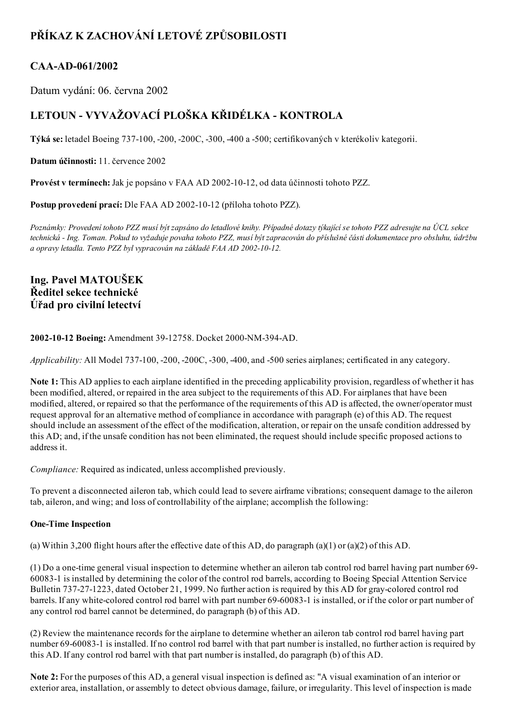# PŘÍKAZ K ZACHOVÁNÍ LETOVÉ ZPŮSOBILOSTI

# CAA-AD-061/2002

Datum vydání: 06. června 2002

# LETOUN - VYVAŽOVACÍ PLOŠKA KŘIDÉLKA - KONTROLA

Týká se: letadel Boeing 737100, 200, 200C, 300, 400 a 500; certifikovaných v kterékoliv kategorii.

Datum účinnosti: 11. července 2002

Provést v termínech: Jak je popsáno v FAA AD 2002-10-12, od data účinnosti tohoto PZZ.

Postup provedení prací: Dle FAA AD 2002-10-12 (příloha tohoto PZZ).

Poznámky: Provedení tohoto PZZ musí být zapsáno do letadlové knihy. Případné dotazy týkající se tohoto PZZ adresujte na ÚCL sekce technická Ing. Toman. Pokud to vyžaduje povaha tohoto PZZ, musí být zapracován do příslušné části dokumentace pro obsluhu, údržbu a opravy letadla. Tento PZZ byl vypracován na základě FAA AD 2002-10-12.

## Ing. Pavel MATOUŠEK Ředitel sekce technické Úřad pro civilní letectví

## 2002-10-12 Boeing: Amendment 39-12758. Docket 2000-NM-394-AD.

Applicability: All Model 737-100, -200, -200C, -300, -400, and -500 series airplanes; certificated in any category.

Note 1: This AD applies to each airplane identified in the preceding applicability provision, regardless of whether it has been modified, altered, or repaired in the area subject to the requirements of this AD. For airplanes that have been modified, altered, or repaired so that the performance of the requirements of this AD is affected, the owner/operator must request approval for an alternative method of compliance in accordance with paragraph (e) of this AD. The request should include an assessment of the effect of the modification, alteration, or repair on the unsafe condition addressed by this AD; and, if the unsafe condition has not been eliminated, the request should include specific proposed actions to address it.

Compliance: Required as indicated, unless accomplished previously.

To prevent a disconnected aileron tab, which could lead to severe airframe vibrations; consequent damage to the aileron tab, aileron, and wing; and loss of controllability of the airplane; accomplish the following:

## One-Time Inspection

(a) Within 3,200 flight hours after the effective date of this AD, do paragraph (a)(1) or (a)(2) of this AD.

 $(1)$  Do a one-time general visual inspection to determine whether an aileron tab control rod barrel having part number 69-600831 is installed by determining the color of the control rod barrels, according to Boeing Special Attention Service Bulletin 737271223, dated October 21, 1999. No further action is required by this AD for graycolored control rod barrels. If any white-colored control rod barrel with part number 69-60083-1 is installed, or if the color or part number of any control rod barrel cannot be determined, do paragraph (b) of this AD.

(2) Review the maintenance records for the airplane to determine whether an aileron tab control rod barrel having part number 69-60083-1 is installed. If no control rod barrel with that part number is installed, no further action is required by this AD. If any control rod barrel with that part number is installed, do paragraph (b) of this AD.

Note 2: For the purposes of this AD, a general visual inspection is defined as: "A visual examination of an interior or exterior area, installation, or assembly to detect obvious damage, failure, or irregularity. This level of inspection is made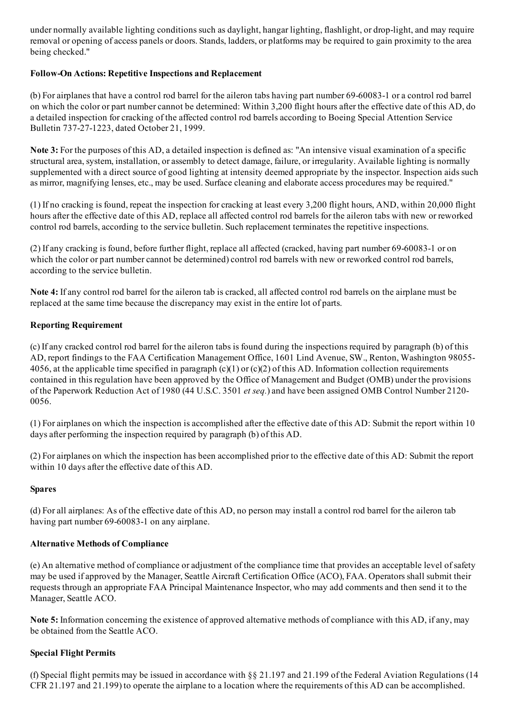under normally available lighting conditions such as daylight, hangar lighting, flashlight, or drop-light, and may require removal or opening of access panels or doors. Stands, ladders, or platforms may be required to gain proximity to the area being checked."

#### Follow-On Actions: Repetitive Inspections and Replacement

(b) For airplanes that have a control rod barrel for the aileron tabs having part number 69-60083-1 or a control rod barrel on which the color or part number cannot be determined: Within 3,200 flight hours after the effective date of this AD, do a detailed inspection for cracking of the affected control rod barrels according to Boeing Special Attention Service Bulletin 737-27-1223, dated October 21, 1999.

Note 3: For the purposes of this AD, a detailed inspection is defined as: "An intensive visual examination of a specific structural area, system, installation, or assembly to detect damage, failure, or irregularity. Available lighting is normally supplemented with a direct source of good lighting at intensity deemed appropriate by the inspector. Inspection aids such as mirror, magnifying lenses, etc., may be used. Surface cleaning and elaborate access procedures may be required."

(1) If no cracking is found, repeat the inspection for cracking at least every 3,200 flight hours, AND, within 20,000 flight hours after the effective date of this AD, replace all affected control rod barrels for the aileron tabs with new or reworked control rod barrels, according to the service bulletin. Such replacement terminates the repetitive inspections.

 $(2)$  If any cracking is found, before further flight, replace all affected (cracked, having part number 69-60083-1 or on which the color or part number cannot be determined) control rod barrels with new or reworked control rod barrels, according to the service bulletin.

Note 4: If any control rod barrel for the aileron tab is cracked, all affected control rod barrels on the airplane must be replaced at the same time because the discrepancy may exist in the entire lot of parts.

## Reporting Requirement

(c) If any cracked control rod barrel for the aileron tabs is found during the inspections required by paragraph (b) of this AD, report findings to the FAA Certification Management Office, 1601 Lind Avenue, SW., Renton, Washington 98055 4056, at the applicable time specified in paragraph  $(c)(1)$  or  $(c)(2)$  of this AD. Information collection requirements contained in this regulation have been approved by the Office of Management and Budget (OMB) under the provisions of the Paperwork Reduction Act of 1980 (44 U.S.C. 3501 et seq.) and have been assigned OMB Control Number 2120 0056.

(1) For airplanes on which the inspection is accomplished after the effective date of this AD: Submit the report within 10 days after performing the inspection required by paragraph (b) of this AD.

(2) For airplanes on which the inspection has been accomplished prior to the effective date of this AD: Submit the report within 10 days after the effective date of this AD.

#### Spares

(d) For all airplanes: As of the effective date of this AD, no person may install a control rod barrel for the aileron tab having part number 69-60083-1 on any airplane.

#### Alternative Methods of Compliance

(e) An alternative method of compliance or adjustment of the compliance time that provides an acceptable level ofsafety may be used if approved by the Manager, Seattle Aircraft Certification Office (ACO), FAA. Operators shall submit their requests through an appropriate FAA Principal Maintenance Inspector, who may add comments and then send it to the Manager, Seattle ACO.

Note 5: Information concerning the existence of approved alternative methods of compliance with this AD, if any, may be obtained from the Seattle ACO.

## Special Flight Permits

(f) Special flight permits may be issued in accordance with §§ 21.197 and 21.199 of the Federal Aviation Regulations (14 CFR 21.197 and 21.199) to operate the airplane to a location where the requirements of this AD can be accomplished.